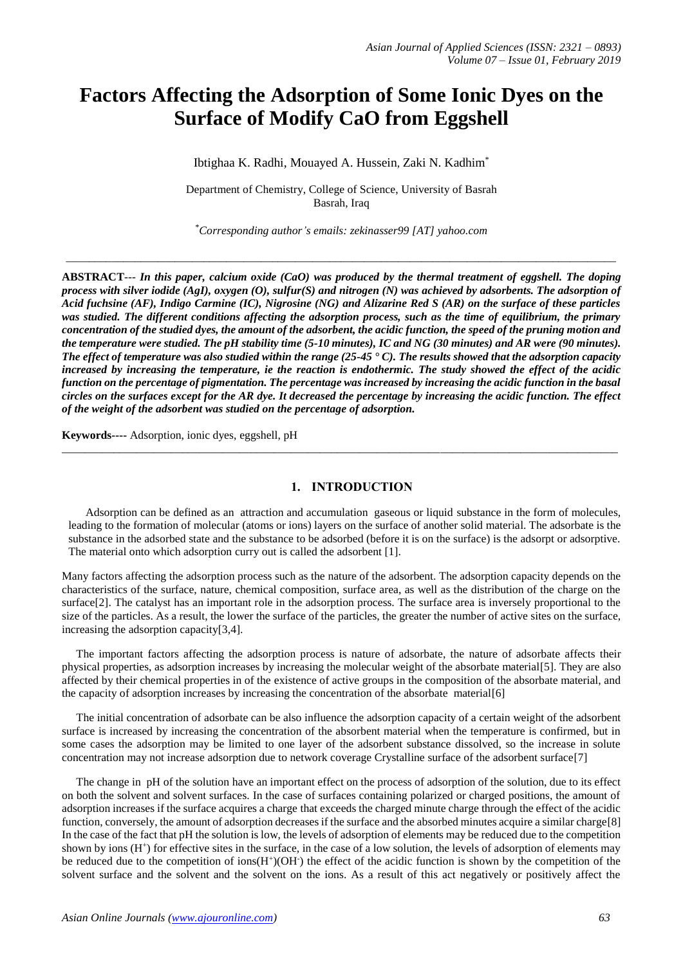# **Factors Affecting the Adsorption of Some Ionic Dyes on the Surface of Modify CaO from Eggshell**

Ibtighaa K. Radhi, Mouayed A. Hussein*,* Zaki N. Kadhim\*

Department of Chemistry, College of Science, University of Basrah Basrah, Iraq

\**Corresponding author's emails: zekinasser99 [AT] yahoo.com*

*\_\_\_\_\_\_\_\_\_\_\_\_\_\_\_\_\_\_\_\_\_\_\_\_\_\_\_\_\_\_\_\_\_\_\_\_\_\_\_\_\_\_\_\_\_\_\_\_\_\_\_\_\_\_\_\_\_\_\_\_\_\_\_\_\_\_\_\_\_\_\_\_\_\_\_\_\_\_\_\_\_\_\_\_\_\_\_\_\_\_\_\_\_\_\_\_*

**ABSTRACT***--- In this paper, calcium oxide (CaO) was produced by the thermal treatment of eggshell. The doping process with silver iodide (AgI), oxygen (O), sulfur(S) and nitrogen (N) was achieved by adsorbents. The adsorption of Acid fuchsine (AF), Indigo Carmine (IC), Nigrosine (NG) and Alizarine Red S (AR) on the surface of these particles was studied. The different conditions affecting the adsorption process, such as the time of equilibrium, the primary concentration of the studied dyes, the amount of the adsorbent, the acidic function, the speed of the pruning motion and the temperature were studied. The pH stability time (5-10 minutes), IC and NG (30 minutes) and AR were (90 minutes). The effect of temperature was also studied within the range (25-45 ° C). The results showed that the adsorption capacity increased by increasing the temperature, ie the reaction is endothermic. The study showed the effect of the acidic function on the percentage of pigmentation. The percentage was increased by increasing the acidic function in the basal circles on the surfaces except for the AR dye. It decreased the percentage by increasing the acidic function. The effect of the weight of the adsorbent was studied on the percentage of adsorption.*

**Keywords----** Adsorption, ionic dyes, eggshell, pH

# **1. INTRODUCTION**

\_\_\_\_\_\_\_\_\_\_\_\_\_\_\_\_\_\_\_\_\_\_\_\_\_\_\_\_\_\_\_\_\_\_\_\_\_\_\_\_\_\_\_\_\_\_\_\_\_\_\_\_\_\_\_\_\_\_\_\_\_\_\_\_\_\_\_\_\_\_\_\_\_\_\_\_\_\_\_\_\_\_\_\_\_\_\_\_\_\_\_\_\_\_\_\_\_

 Adsorption can be defined as an attraction and accumulation gaseous or liquid substance in the form of molecules, leading to the formation of molecular (atoms or ions) layers on the surface of another solid material. The adsorbate is the substance in the adsorbed state and the substance to be adsorbed (before it is on the surface) is the adsorpt or adsorptive. The material onto which adsorption curry out is called the adsorbent [1].

Many factors affecting the adsorption process such as the nature of the adsorbent. The adsorption capacity depends on the characteristics of the surface, nature, chemical composition, surface area, as well as the distribution of the charge on the surface[2]. The catalyst has an important role in the adsorption process. The surface area is inversely proportional to the size of the particles. As a result, the lower the surface of the particles, the greater the number of active sites on the surface, increasing the adsorption capacity[3,4].

 The important factors affecting the adsorption process is nature of adsorbate, the nature of adsorbate affects their physical properties, as adsorption increases by increasing the molecular weight of the absorbate material[5]. They are also affected by their chemical properties in of the existence of active groups in the composition of the absorbate material, and the capacity of adsorption increases by increasing the concentration of the absorbate material[6]

 The initial concentration of adsorbate can be also influence the adsorption capacity of a certain weight of the adsorbent surface is increased by increasing the concentration of the absorbent material when the temperature is confirmed, but in some cases the adsorption may be limited to one layer of the adsorbent substance dissolved, so the increase in solute concentration may not increase adsorption due to network coverage Crystalline surface of the adsorbent surface [7]

 The change in pH of the solution have an important effect on the process of adsorption of the solution, due to its effect on both the solvent and solvent surfaces. In the case of surfaces containing polarized or charged positions, the amount of adsorption increases if the surface acquires a charge that exceeds the charged minute charge through the effect of the acidic function, conversely, the amount of adsorption decreases if the surface and the absorbed minutes acquire a similar charge[8] In the case of the fact that pH the solution is low, the levels of adsorption of elements may be reduced due to the competition shown by ions  $(H^+)$  for effective sites in the surface, in the case of a low solution, the levels of adsorption of elements may be reduced due to the competition of ions $(H^+(OH))$  the effect of the acidic function is shown by the competition of the solvent surface and the solvent and the solvent on the ions. As a result of this act negatively or positively affect the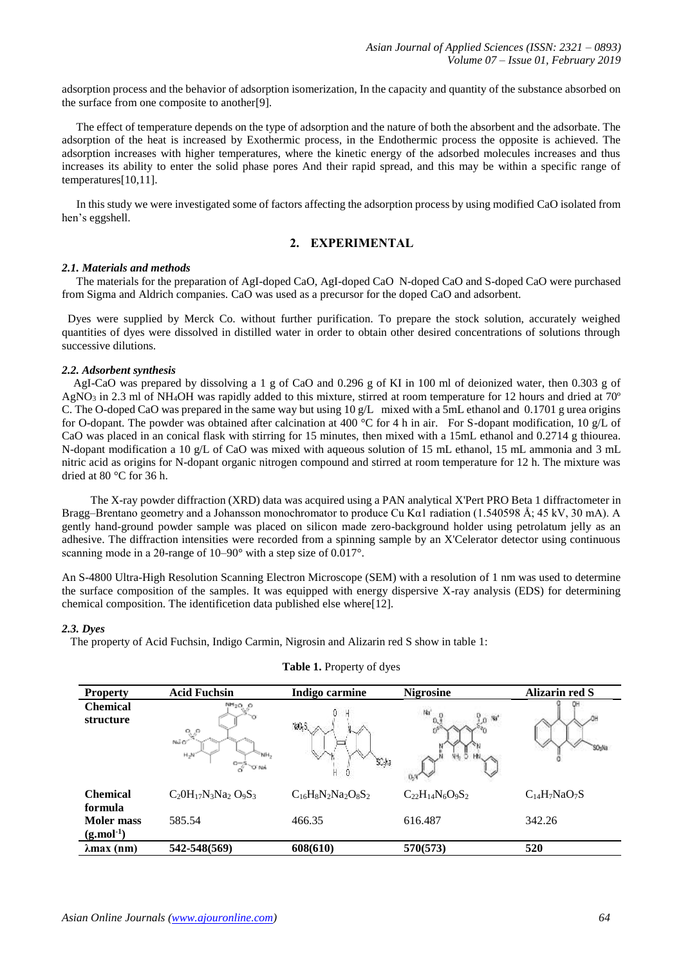adsorption process and the behavior of adsorption isomerization, In the capacity and quantity of the substance absorbed on the surface from one composite to another[9].

 The effect of temperature depends on the type of adsorption and the nature of both the absorbent and the adsorbate. The adsorption of the heat is increased by Exothermic process, in the Endothermic process the opposite is achieved. The adsorption increases with higher temperatures, where the kinetic energy of the adsorbed molecules increases and thus increases its ability to enter the solid phase pores And their rapid spread, and this may be within a specific range of temperatures[10,11].

 In this study we were investigated some of factors affecting the adsorption process by using modified CaO isolated from hen's eggshell.

# **2. EXPERIMENTAL**

## *2.1. Materials and methods*

 The materials for the preparation of AgI-doped CaO, AgI-doped CaO N-doped CaO and S-doped CaO were purchased from Sigma and Aldrich companies. CaO was used as a precursor for the doped CaO and adsorbent.

 Dyes were supplied by Merck Co. without further purification. To prepare the stock solution, accurately weighed quantities of dyes were dissolved in distilled water in order to obtain other desired concentrations of solutions through successive dilutions.

## *2.2. Adsorbent synthesis*

 AgI-CaO was prepared by dissolving a 1 g of CaO and 0.296 g of KI in 100 ml of deionized water, then 0.303 g of AgNO<sub>3</sub> in 2.3 ml of NH<sub>4</sub>OH was rapidly added to this mixture, stirred at room temperature for 12 hours and dried at 70<sup>o</sup> C. The O-doped CaO was prepared in the same way but using 10 g/L mixed with a 5mL ethanol and 0.1701 g urea origins for O-dopant. The powder was obtained after calcination at 400 °C for 4 h in air. For S-dopant modification, 10 g/L of CaO was placed in an conical flask with stirring for 15 minutes, then mixed with a 15mL ethanol and 0.2714 g thiourea. N-dopant modification a 10 g/L of CaO was mixed with aqueous solution of 15 mL ethanol, 15 mL ammonia and 3 mL nitric acid as origins for N-dopant organic nitrogen compound and stirred at room temperature for 12 h. The mixture was dried at 80 °C for 36 h.

 The X-ray powder diffraction (XRD) data was acquired using a PAN analytical X'Pert PRO Beta 1 diffractometer in Bragg–Brentano geometry and a Johansson monochromator to produce Cu Kα1 radiation (1.540598 Å; 45 kV, 30 mA). A gently hand-ground powder sample was placed on silicon made zero-background holder using petrolatum jelly as an adhesive. The diffraction intensities were recorded from a spinning sample by an X'Celerator detector using continuous scanning mode in a 2θ-range of 10–90° with a step size of 0.017°.

An S-4800 Ultra-High Resolution Scanning Electron Microscope (SEM) with a resolution of 1 nm was used to determine the surface composition of the samples. It was equipped with energy dispersive X-ray analysis (EDS) for determining chemical composition. The identificetion data published else where[12].

#### *2.3. Dyes*

The property of Acid Fuchsin, Indigo Carmin, Nigrosin and Alizarin red S show in table 1:

| <b>Property</b>                                           | <b>Acid Fuchsin</b>                                                                 | Indigo carmine           | <b>Nigrosine</b>                | <b>Alizarin red S</b> |
|-----------------------------------------------------------|-------------------------------------------------------------------------------------|--------------------------|---------------------------------|-----------------------|
| <b>Chemical</b><br>structure                              | NH <sub>2</sub> O <sub>2</sub> O<br>∿°<br>NãO'<br>$H_2M$<br>$\frac{1}{\alpha}$ o MA | YAS.<br>SC 13            | Na<br>$n$ Na <sup>+</sup><br>44 | SO <sub>3</sub> Na    |
| <b>Chemical</b>                                           | $C_2OH_{17}N_3Na_2O_9S_3$                                                           | $C_{16}H_8N_2Na_2O_8S_2$ | $C_{22}H_{14}N_6O_9S_2$         | $C_{14}H_7NaO_7S$     |
| formula<br><b>Moler</b> mass<br>$(g$ .mol <sup>-1</sup> ) | 585.54                                                                              | 466.35                   | 616.487                         | 342.26                |
| $\lambda$ max (nm)                                        | 542-548(569)                                                                        | 608(610)                 | 570(573)                        | 520                   |

#### **Table 1.** Property of dyes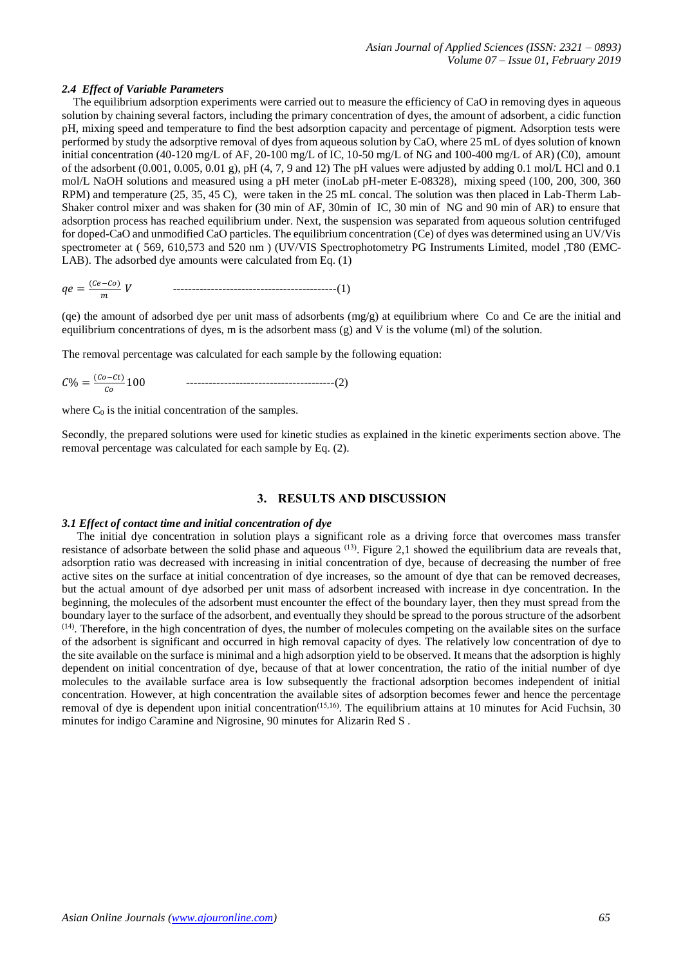## *2.4 Effect of Variable Parameters*

 The equilibrium adsorption experiments were carried out to measure the efficiency of CaO in removing dyes in aqueous solution by chaining several factors, including the primary concentration of dyes, the amount of adsorbent, a cidic function pH, mixing speed and temperature to find the best adsorption capacity and percentage of pigment. Adsorption tests were performed by study the adsorptive removal of dyes from aqueous solution by CaO, where 25 mL of dyes solution of known initial concentration (40-120 mg/L of AF, 20-100 mg/L of IC, 10-50 mg/L of NG and 100-400 mg/L of AR) (C0), amount of the adsorbent (0.001, 0.005, 0.01 g), pH (4, 7, 9 and 12) The pH values were adjusted by adding 0.1 mol/L HCl and 0.1 mol/L NaOH solutions and measured using a pH meter (inoLab pH-meter E-08328), mixing speed (100, 200, 300, 360 RPM) and temperature (25, 35, 45 C), were taken in the 25 mL concal. The solution was then placed in Lab-Therm Lab-Shaker control mixer and was shaken for (30 min of AF, 30min of IC, 30 min of NG and 90 min of AR) to ensure that adsorption process has reached equilibrium under. Next, the suspension was separated from aqueous solution centrifuged for doped-CaO and unmodified CaO particles. The equilibrium concentration (Ce) of dyes was determined using an UV/Vis spectrometer at ( 569, 610,573 and 520 nm ) (UV/VIS Spectrophotometry PG Instruments Limited, model ,T80 (EMC-LAB). The adsorbed dye amounts were calculated from Eq. (1)

 = (−) -------------------------------------------(1)

(qe) the amount of adsorbed dye per unit mass of adsorbents  $(mg/g)$  at equilibrium where Co and Ce are the initial and equilibrium concentrations of dyes, m is the adsorbent mass (g) and V is the volume (ml) of the solution.

The removal percentage was calculated for each sample by the following equation:

% = (−) 100 ---------------------------------------(2)

where  $C_0$  is the initial concentration of the samples.

Secondly, the prepared solutions were used for kinetic studies as explained in the kinetic experiments section above. The removal percentage was calculated for each sample by Eq. (2).

#### **3. RESULTS AND DISCUSSION**

#### *3.1 Effect of contact time and initial concentration of dye*

 The initial dye concentration in solution plays a significant role as a driving force that overcomes mass transfer resistance of adsorbate between the solid phase and aqueous  $^{(13)}$ . Figure 2,1 showed the equilibrium data are reveals that, adsorption ratio was decreased with increasing in initial concentration of dye, because of decreasing the number of free active sites on the surface at initial concentration of dye increases, so the amount of dye that can be removed decreases, but the actual amount of dye adsorbed per unit mass of adsorbent increased with increase in dye concentration. In the beginning, the molecules of the adsorbent must encounter the effect of the boundary layer, then they must spread from the boundary layer to the surface of the adsorbent, and eventually they should be spread to the porous structure of the adsorbent  $(14)$ . Therefore, in the high concentration of dyes, the number of molecules competing on the available sites on the surface of the adsorbent is significant and occurred in high removal capacity of dyes. The relatively low concentration of dye to the site available on the surface is minimal and a high adsorption yield to be observed. It means that the adsorption is highly dependent on initial concentration of dye, because of that at lower concentration, the ratio of the initial number of dye molecules to the available surface area is low subsequently the fractional adsorption becomes independent of initial concentration. However, at high concentration the available sites of adsorption becomes fewer and hence the percentage removal of dye is dependent upon initial concentration<sup> $(15,16)$ </sup>. The equilibrium attains at 10 minutes for Acid Fuchsin, 30 minutes for indigo Caramine and Nigrosine, 90 minutes for Alizarin Red S .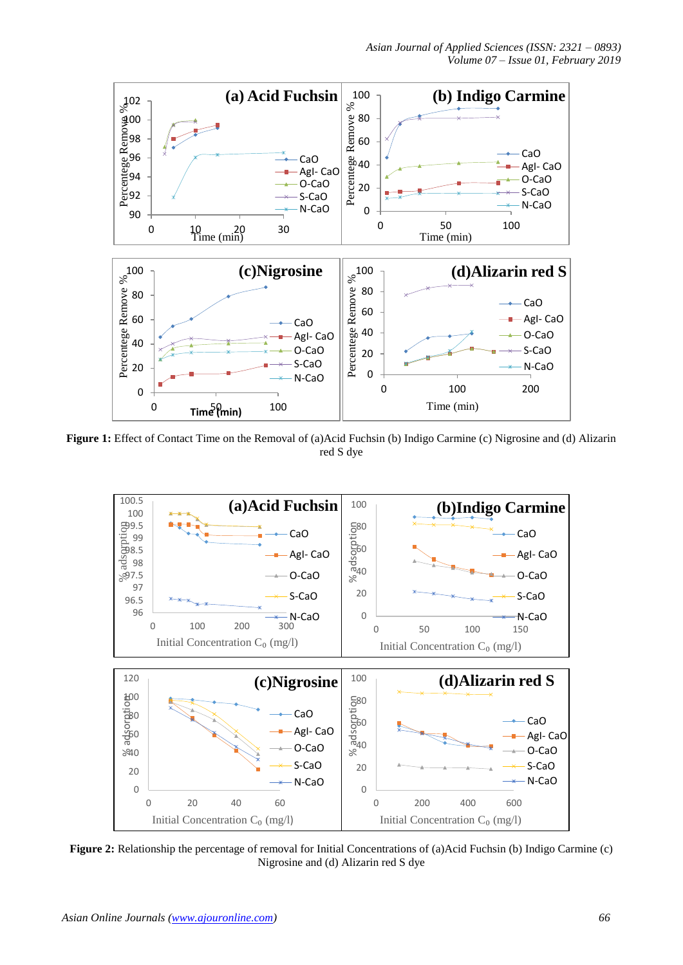

**Figure 1:** Effect of Contact Time on the Removal of (a)Acid Fuchsin (b) Indigo Carmine (c) Nigrosine and (d) Alizarin red S dye



**Figure 2:** Relationship the percentage of removal for Initial Concentrations of (a)Acid Fuchsin (b) Indigo Carmine (c) Nigrosine and (d) Alizarin red S dye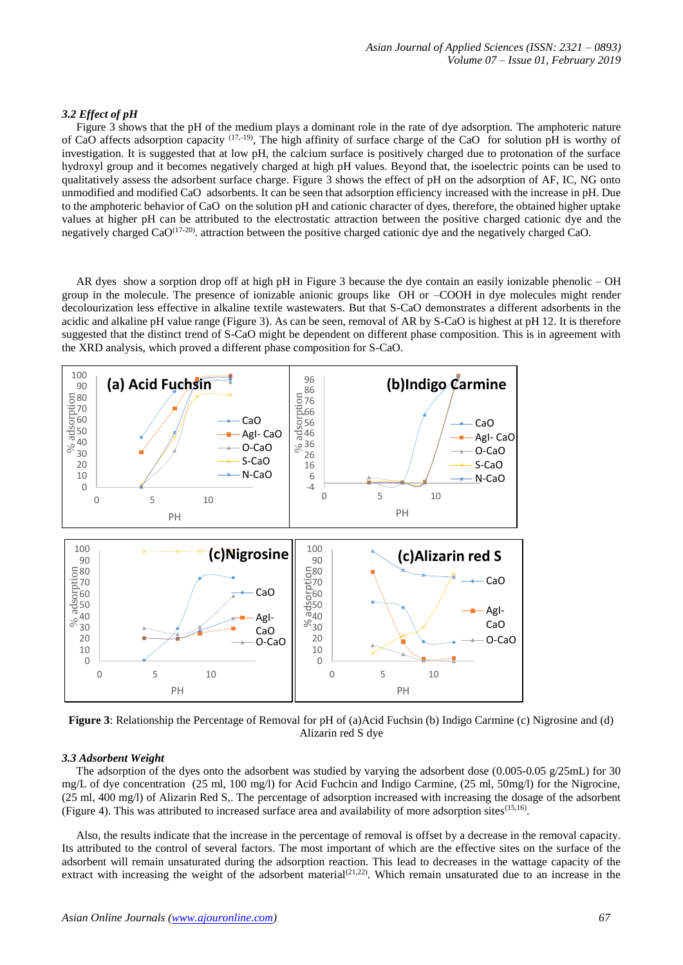# *3.2 Effect of pH*

 Figure 3 shows that the pH of the medium plays a dominant role in the rate of dye adsorption. The amphoteric nature of CaO affects adsorption capacity (17,-19), The high affinity of surface charge of the CaO for solution pH is worthy of investigation. It is suggested that at low pH, the calcium surface is positively charged due to protonation of the surface hydroxyl group and it becomes negatively charged at high pH values. Beyond that, the isoelectric points can be used to qualitatively assess the adsorbent surface charge. Figure 3 shows the effect of pH on the adsorption of AF, IC, NG onto unmodified and modified CaO adsorbents. It can be seen that adsorption efficiency increased with the increase in pH. Due to the amphoteric behavior of CaO on the solution pH and cationic character of dyes, therefore, the obtained higher uptake values at higher pH can be attributed to the electrostatic attraction between the positive charged cationic dye and the negatively charged CaO<sup>(17-20)</sup>. attraction between the positive charged cationic dye and the negatively charged CaO.

 AR dyes show a sorption drop off at high pH in Figure 3 because the dye contain an easily ionizable phenolic – OH group in the molecule. The presence of ionizable anionic groups like OH or –COOH in dye molecules might render decolourization less effective in alkaline textile wastewaters. But that S-CaO demonstrates a different adsorbents in the acidic and alkaline pH value range (Figure 3). As can be seen, removal of AR by S-CaO is highest at pH 12. It is therefore suggested that the distinct trend of S-CaO might be dependent on different phase composition. This is in agreement with the XRD analysis, which proved a different phase composition for S-CaO.



**Figure 3**: Relationship the Percentage of Removal for pH of (a)Acid Fuchsin (b) Indigo Carmine (c) Nigrosine and (d) Alizarin red S dye

## *3.3 Adsorbent Weight*

The adsorption of the dyes onto the adsorbent was studied by varying the adsorbent dose  $(0.005-0.05 \text{ g}/25 \text{mL})$  for 30 mg/L of dye concentration (25 ml, 100 mg/l) for Acid Fuchcin and Indigo Carmine, (25 ml, 50mg/l) for the Nigrocine, (25 ml, 400 mg/l) of Alizarin Red S,. The percentage of adsorption increased with increasing the dosage of the adsorbent (Figure 4). This was attributed to increased surface area and availability of more adsorption sites $(15,16)$ .

 Also, the results indicate that the increase in the percentage of removal is offset by a decrease in the removal capacity. Its attributed to the control of several factors. The most important of which are the effective sites on the surface of the adsorbent will remain unsaturated during the adsorption reaction. This lead to decreases in the wattage capacity of the extract with increasing the weight of the adsorbent material  $(2^{1,22})$ . Which remain unsaturated due to an increase in the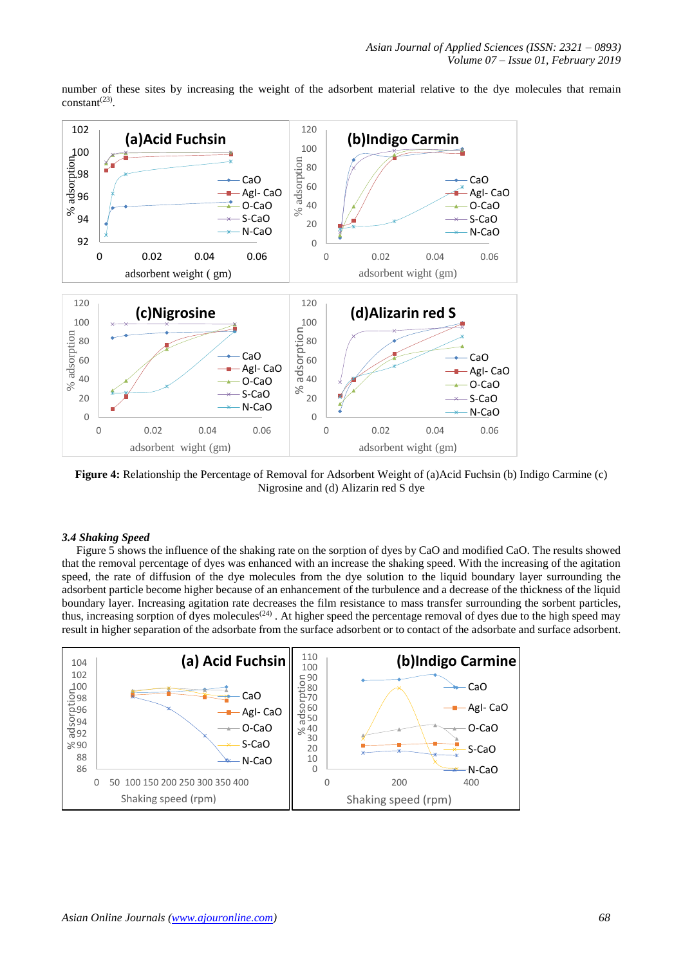

number of these sites by increasing the weight of the adsorbent material relative to the dye molecules that remain  $constant<sup>(23)</sup>$ .

**Figure 4:** Relationship the Percentage of Removal for Adsorbent Weight of (a)Acid Fuchsin (b) Indigo Carmine (c) Nigrosine and (d) Alizarin red S dye

#### *3.4 Shaking Speed*

 Figure 5 shows the influence of the shaking rate on the sorption of dyes by CaO and modified CaO. The results showed that the removal percentage of dyes was enhanced with an increase the shaking speed. With the increasing of the agitation speed, the rate of diffusion of the dye molecules from the dye solution to the liquid boundary layer surrounding the adsorbent particle become higher because of an enhancement of the turbulence and a decrease of the thickness of the liquid boundary layer. Increasing agitation rate decreases the film resistance to mass transfer surrounding the sorbent particles, thus, increasing sorption of dyes molecules<sup> $(24)$ </sup>. At higher speed the percentage removal of dyes due to the high speed may result in higher separation of the adsorbate from the surface adsorbent or to contact of the adsorbate and surface adsorbent.

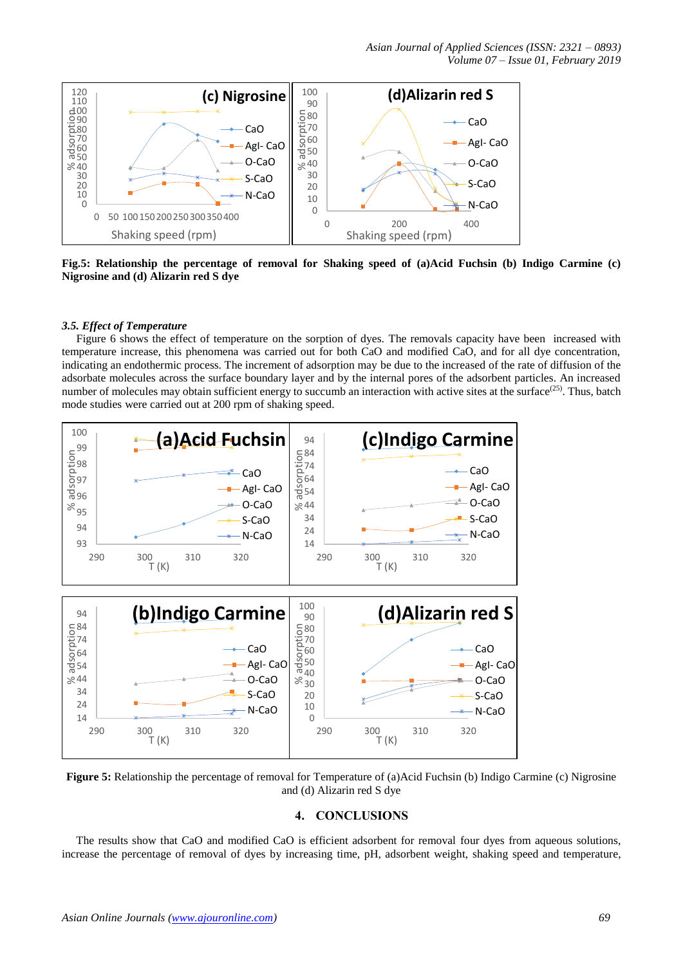

**Fig.5: Relationship the percentage of removal for Shaking speed of (a)Acid Fuchsin (b) Indigo Carmine (c) Nigrosine and (d) Alizarin red S dye**

# *3.5. Effect of Temperature*

 Figure 6 shows the effect of temperature on the sorption of dyes. The removals capacity have been increased with temperature increase, this phenomena was carried out for both CaO and modified CaO, and for all dye concentration, indicating an endothermic process. The increment of adsorption may be due to the increased of the rate of diffusion of the adsorbate molecules across the surface boundary layer and by the internal pores of the adsorbent particles. An increased number of molecules may obtain sufficient energy to succumb an interaction with active sites at the surface $(25)$ . Thus, batch mode studies were carried out at 200 rpm of shaking speed.



**Figure 5:** Relationship the percentage of removal for Temperature of (a)Acid Fuchsin (b) Indigo Carmine (c) Nigrosine and (d) Alizarin red S dye

# **4. CONCLUSIONS**

 The results show that CaO and modified CaO is efficient adsorbent for removal four dyes from aqueous solutions, increase the percentage of removal of dyes by increasing time, pH, adsorbent weight, shaking speed and temperature,